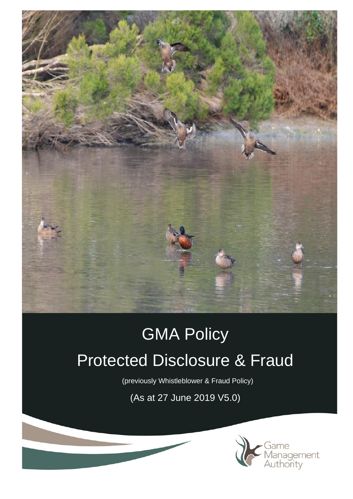

# GMA Policy Protected Disclosure & Fraud

(previously Whistleblower & Fraud Policy)

(As at 27 June 2019 V5.0)

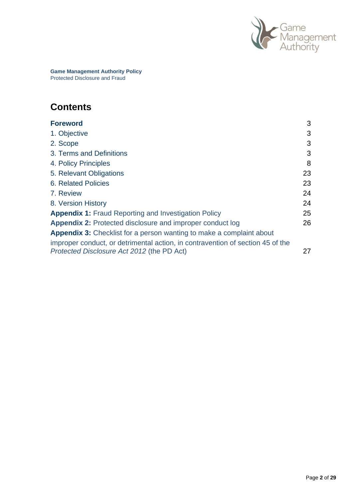

**Game Management Authority Policy** Protected Disclosure and Fraud

# **Contents**

| <b>Foreword</b>                                                                                                                                        | 3  |
|--------------------------------------------------------------------------------------------------------------------------------------------------------|----|
| 1. Objective                                                                                                                                           | 3  |
| 2. Scope                                                                                                                                               | 3  |
| 3. Terms and Definitions                                                                                                                               | 3  |
| 4. Policy Principles                                                                                                                                   | 8  |
| 5. Relevant Obligations                                                                                                                                | 23 |
| <b>6. Related Policies</b>                                                                                                                             | 23 |
| 7. Review                                                                                                                                              | 24 |
| 8. Version History                                                                                                                                     | 24 |
| <b>Appendix 1:</b> Fraud Reporting and Investigation Policy                                                                                            | 25 |
| <b>Appendix 2: Protected disclosure and improper conduct log</b>                                                                                       | 26 |
| Appendix 3: Checklist for a person wanting to make a complaint about<br>improper conduct, or detrimental action, in contravention of section 45 of the |    |
| Protected Disclosure Act 2012 (the PD Act)                                                                                                             | 27 |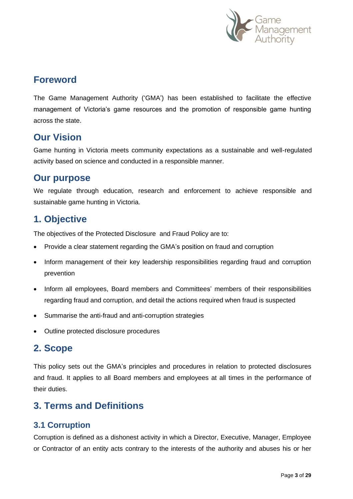

# **Foreword**

The Game Management Authority ('GMA') has been established to facilitate the effective management of Victoria's game resources and the promotion of responsible game hunting across the state.

# **Our Vision**

Game hunting in Victoria meets community expectations as a sustainable and well-regulated activity based on science and conducted in a responsible manner.

# **Our purpose**

We regulate through education, research and enforcement to achieve responsible and sustainable game hunting in Victoria.

# **1. Objective**

The objectives of the Protected Disclosure and Fraud Policy are to:

- Provide a clear statement regarding the GMA's position on fraud and corruption
- Inform management of their key leadership responsibilities regarding fraud and corruption prevention
- Inform all employees, Board members and Committees' members of their responsibilities regarding fraud and corruption, and detail the actions required when fraud is suspected
- Summarise the anti-fraud and anti-corruption strategies
- Outline protected disclosure procedures

# **2. Scope**

This policy sets out the GMA's principles and procedures in relation to protected disclosures and fraud. It applies to all Board members and employees at all times in the performance of their duties.

# **3. Terms and Definitions**

# **3.1 Corruption**

Corruption is defined as a dishonest activity in which a Director, Executive, Manager, Employee or Contractor of an entity acts contrary to the interests of the authority and abuses his or her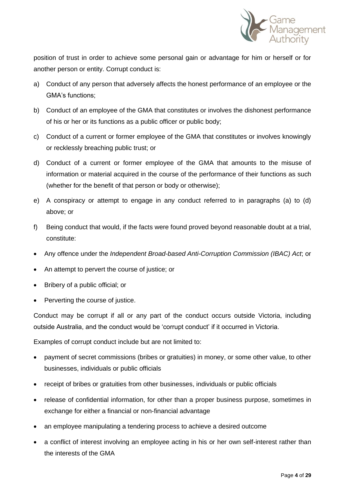

position of trust in order to achieve some personal gain or advantage for him or herself or for another person or entity. Corrupt conduct is:

- a) Conduct of any person that adversely affects the honest performance of an employee or the GMA's functions;
- b) Conduct of an employee of the GMA that constitutes or involves the dishonest performance of his or her or its functions as a public officer or public body;
- c) Conduct of a current or former employee of the GMA that constitutes or involves knowingly or recklessly breaching public trust; or
- d) Conduct of a current or former employee of the GMA that amounts to the misuse of information or material acquired in the course of the performance of their functions as such (whether for the benefit of that person or body or otherwise);
- e) A conspiracy or attempt to engage in any conduct referred to in paragraphs (a) to (d) above; or
- f) Being conduct that would, if the facts were found proved beyond reasonable doubt at a trial, constitute:
- Any offence under the *Independent Broad-based Anti-Corruption Commission (IBAC) Act*; or
- An attempt to pervert the course of justice; or
- Bribery of a public official; or
- Perverting the course of justice.

Conduct may be corrupt if all or any part of the conduct occurs outside Victoria, including outside Australia, and the conduct would be 'corrupt conduct' if it occurred in Victoria.

Examples of corrupt conduct include but are not limited to:

- payment of secret commissions (bribes or gratuities) in money, or some other value, to other businesses, individuals or public officials
- receipt of bribes or gratuities from other businesses, individuals or public officials
- release of confidential information, for other than a proper business purpose, sometimes in exchange for either a financial or non-financial advantage
- an employee manipulating a tendering process to achieve a desired outcome
- a conflict of interest involving an employee acting in his or her own self-interest rather than the interests of the GMA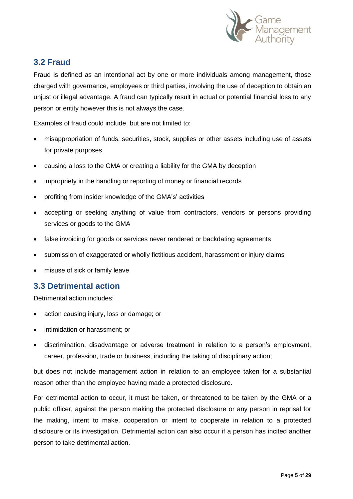

# **3.2 Fraud**

Fraud is defined as an intentional act by one or more individuals among management, those charged with governance, employees or third parties, involving the use of deception to obtain an unjust or illegal advantage. A fraud can typically result in actual or potential financial loss to any person or entity however this is not always the case.

Examples of fraud could include, but are not limited to:

- misappropriation of funds, securities, stock, supplies or other assets including use of assets for private purposes
- causing a loss to the GMA or creating a liability for the GMA by deception
- impropriety in the handling or reporting of money or financial records
- profiting from insider knowledge of the GMA's' activities
- accepting or seeking anything of value from contractors, vendors or persons providing services or goods to the GMA
- false invoicing for goods or services never rendered or backdating agreements
- submission of exaggerated or wholly fictitious accident, harassment or injury claims
- misuse of sick or family leave

# **3.3 Detrimental action**

Detrimental action includes:

- action causing injury, loss or damage; or
- intimidation or harassment; or
- discrimination, disadvantage or adverse treatment in relation to a person's employment, career, profession, trade or business, including the taking of disciplinary action;

but does not include management action in relation to an employee taken for a substantial reason other than the employee having made a protected disclosure.

For detrimental action to occur, it must be taken, or threatened to be taken by the GMA or a public officer, against the person making the protected disclosure or any person in reprisal for the making, intent to make, cooperation or intent to cooperate in relation to a protected disclosure or its investigation. Detrimental action can also occur if a person has incited another person to take detrimental action.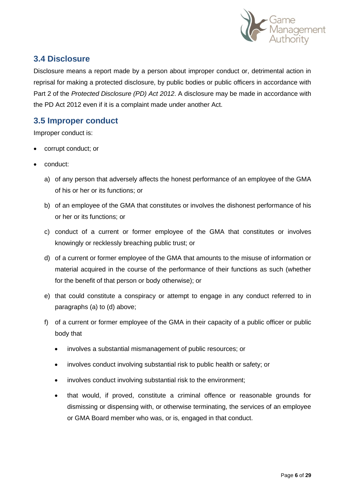

# **3.4 Disclosure**

Disclosure means a report made by a person about improper conduct or, detrimental action in reprisal for making a protected disclosure, by public bodies or public officers in accordance with Part 2 of the *Protected Disclosure (PD) Act 2012*. A disclosure may be made in accordance with the PD Act 2012 even if it is a complaint made under another Act.

# **3.5 Improper conduct**

Improper conduct is:

- corrupt conduct; or
- conduct:
	- a) of any person that adversely affects the honest performance of an employee of the GMA of his or her or its functions; or
	- b) of an employee of the GMA that constitutes or involves the dishonest performance of his or her or its functions; or
	- c) conduct of a current or former employee of the GMA that constitutes or involves knowingly or recklessly breaching public trust; or
	- d) of a current or former employee of the GMA that amounts to the misuse of information or material acquired in the course of the performance of their functions as such (whether for the benefit of that person or body otherwise); or
	- e) that could constitute a conspiracy or attempt to engage in any conduct referred to in paragraphs (a) to (d) above;
	- f) of a current or former employee of the GMA in their capacity of a public officer or public body that
		- involves a substantial mismanagement of public resources; or
		- involves conduct involving substantial risk to public health or safety; or
		- involves conduct involving substantial risk to the environment;
		- that would, if proved, constitute a criminal offence or reasonable grounds for dismissing or dispensing with, or otherwise terminating, the services of an employee or GMA Board member who was, or is, engaged in that conduct.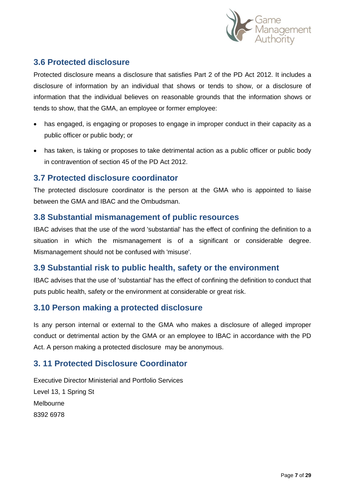

# **3.6 Protected disclosure**

Protected disclosure means a disclosure that satisfies Part 2 of the PD Act 2012. It includes a disclosure of information by an individual that shows or tends to show, or a disclosure of information that the individual believes on reasonable grounds that the information shows or tends to show, that the GMA, an employee or former employee:

- has engaged, is engaging or proposes to engage in improper conduct in their capacity as a public officer or public body; or
- has taken, is taking or proposes to take detrimental action as a public officer or public body in contravention of section 45 of the PD Act 2012.

## **3.7 Protected disclosure coordinator**

The protected disclosure coordinator is the person at the GMA who is appointed to liaise between the GMA and IBAC and the Ombudsman.

## **3.8 Substantial mismanagement of public resources**

IBAC advises that the use of the word 'substantial' has the effect of confining the definition to a situation in which the mismanagement is of a significant or considerable degree. Mismanagement should not be confused with 'misuse'.

# **3.9 Substantial risk to public health, safety or the environment**

IBAC advises that the use of 'substantial' has the effect of confining the definition to conduct that puts public health, safety or the environment at considerable or great risk.

# **3.10 Person making a protected disclosure**

Is any person internal or external to the GMA who makes a disclosure of alleged improper conduct or detrimental action by the GMA or an employee to IBAC in accordance with the PD Act. A person making a protected disclosure may be anonymous.

# **3. 11 Protected Disclosure Coordinator**

Executive Director Ministerial and Portfolio Services Level 13, 1 Spring St Melbourne 8392 6978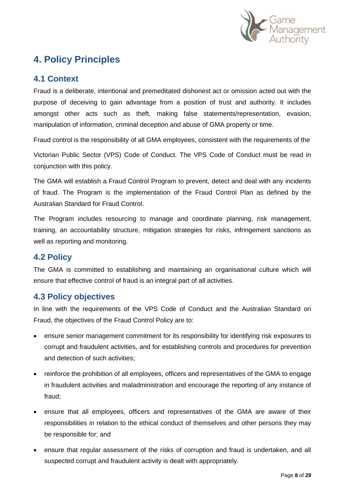

# **4. Policy Principles**

# **4.1 Context**

Fraud is a deliberate, intentional and premeditated dishonest act or omission acted out with the purpose of deceiving to gain advantage from a position of trust and authority. It includes amongst other acts such as theft, making false statements/representation, evasion, manipulation of information, criminal deception and abuse of GMA property or time.

Fraud control is the responsibility of all GMA employees, consistent with the requirements of the

Victorian Public Sector (VPS) Code of Conduct. The VPS Code of Conduct must be read in conjunction with this policy.

The GMA will establish a Fraud Control Program to prevent, detect and deal with any incidents of fraud. The Program is the implementation of the Fraud Control Plan as defined by the Australian Standard for Fraud Control.

The Program includes resourcing to manage and coordinate planning, risk management, training, an accountability structure, mitigation strategies for risks, infringement sanctions as well as reporting and monitoring.

# **4.2 Policy**

The GMA is committed to establishing and maintaining an organisational culture which will ensure that effective control of fraud is an integral part of all activities.

# **4.3 Policy objectives**

In line with the requirements of the VPS Code of Conduct and the Australian Standard on Fraud, the objectives of the Fraud Control Policy are to:

- ensure senior management commitment for its responsibility for identifying risk exposures to corrupt and fraudulent activities, and for establishing controls and procedures for prevention and detection of such activities;
- reinforce the prohibition of all employees, officers and representatives of the GMA to engage in fraudulent activities and maladministration and encourage the reporting of any instance of fraud;
- ensure that all employees, officers and representatives of the GMA are aware of their responsibilities in relation to the ethical conduct of themselves and other persons they may be responsible for; and
- ensure that regular assessment of the risks of corruption and fraud is undertaken, and all suspected corrupt and fraudulent activity is dealt with appropriately.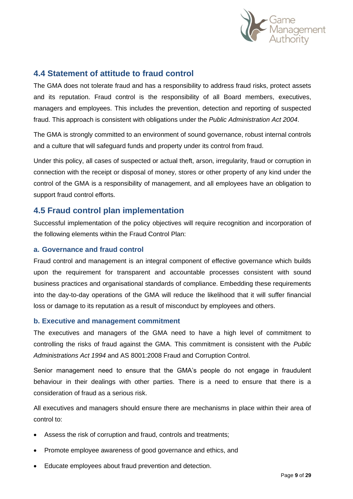

## **4.4 Statement of attitude to fraud control**

The GMA does not tolerate fraud and has a responsibility to address fraud risks, protect assets and its reputation. Fraud control is the responsibility of all Board members, executives, managers and employees. This includes the prevention, detection and reporting of suspected fraud. This approach is consistent with obligations under the *Public Administration Act 2004*.

The GMA is strongly committed to an environment of sound governance, robust internal controls and a culture that will safeguard funds and property under its control from fraud.

Under this policy, all cases of suspected or actual theft, arson, irregularity, fraud or corruption in connection with the receipt or disposal of money, stores or other property of any kind under the control of the GMA is a responsibility of management, and all employees have an obligation to support fraud control efforts.

## **4.5 Fraud control plan implementation**

Successful implementation of the policy objectives will require recognition and incorporation of the following elements within the Fraud Control Plan:

#### **a. Governance and fraud control**

Fraud control and management is an integral component of effective governance which builds upon the requirement for transparent and accountable processes consistent with sound business practices and organisational standards of compliance. Embedding these requirements into the day-to-day operations of the GMA will reduce the likelihood that it will suffer financial loss or damage to its reputation as a result of misconduct by employees and others.

#### **b. Executive and management commitment**

The executives and managers of the GMA need to have a high level of commitment to controlling the risks of fraud against the GMA. This commitment is consistent with the *Public Administrations Act 1994* and AS 8001:2008 Fraud and Corruption Control.

Senior management need to ensure that the GMA's people do not engage in fraudulent behaviour in their dealings with other parties. There is a need to ensure that there is a consideration of fraud as a serious risk.

All executives and managers should ensure there are mechanisms in place within their area of control to:

- Assess the risk of corruption and fraud, controls and treatments;
- Promote employee awareness of good governance and ethics, and
- Educate employees about fraud prevention and detection.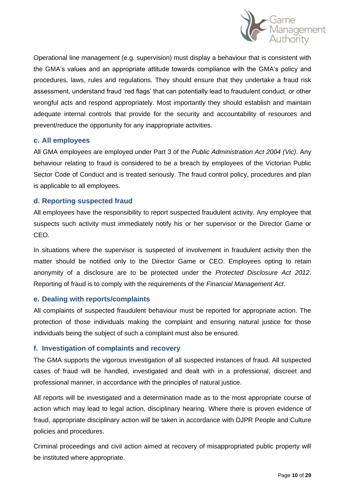

Operational line management (e.g. supervision) must display a behaviour that is consistent with the GMA's values and an appropriate attitude towards compliance with the GMA's policy and procedures, laws, rules and regulations. They should ensure that they undertake a fraud risk assessment, understand fraud 'red flags' that can potentially lead to fraudulent conduct, or other wrongful acts and respond appropriately. Most importantly they should establish and maintain adequate internal controls that provide for the security and accountability of resources and prevent/reduce the opportunity for any inappropriate activities.

#### **c. All employees**

All GMA employees are employed under Part 3 of the *Public Administration Act 2004 (Vic)*. Any behaviour relating to fraud is considered to be a breach by employees of the Victorian Public Sector Code of Conduct and is treated seriously. The fraud control policy, procedures and plan is applicable to all employees.

#### **d. Reporting suspected fraud**

All employees have the responsibility to report suspected fraudulent activity. Any employee that suspects such activity must immediately notify his or her supervisor or the Director Game or CEO.

In situations where the supervisor is suspected of involvement in fraudulent activity then the matter should be notified only to the Director Game or CEO. Employees opting to retain anonymity of a disclosure are to be protected under the *Protected Disclosure Act 2012*. Reporting of fraud is to comply with the requirements of the *Financial Management Act*.

#### **e. Dealing with reports/complaints**

All complaints of suspected fraudulent behaviour must be reported for appropriate action. The protection of those individuals making the complaint and ensuring natural justice for those individuals being the subject of such a complaint must also be ensured.

#### **f. Investigation of complaints and recovery**

The GMA supports the vigorous investigation of all suspected instances of fraud. All suspected cases of fraud will be handled, investigated and dealt with in a professional, discreet and professional manner, in accordance with the principles of natural justice.

All reports will be investigated and a determination made as to the most appropriate course of action which may lead to legal action, disciplinary hearing. Where there is proven evidence of fraud, appropriate disciplinary action will be taken in accordance with DJPR People and Culture policies and procedures.

Criminal proceedings and civil action aimed at recovery of misappropriated public property will be instituted where appropriate.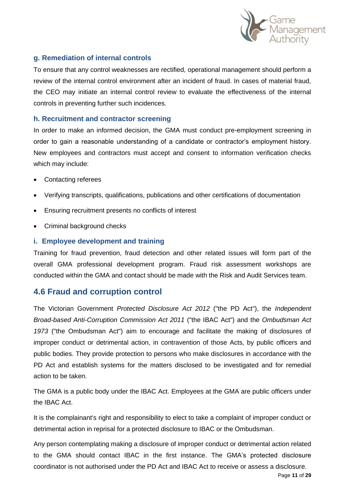

## **g. Remediation of internal controls**

To ensure that any control weaknesses are rectified, operational management should perform a review of the internal control environment after an incident of fraud. In cases of material fraud, the CEO may initiate an internal control review to evaluate the effectiveness of the internal controls in preventing further such incidences.

#### **h. Recruitment and contractor screening**

In order to make an informed decision, the GMA must conduct pre-employment screening in order to gain a reasonable understanding of a candidate or contractor's employment history. New employees and contractors must accept and consent to information verification checks which may include:

- Contacting referees
- Verifying transcripts, qualifications, publications and other certifications of documentation
- Ensuring recruitment presents no conflicts of interest
- Criminal background checks

## **i. Employee development and training**

Training for fraud prevention, fraud detection and other related issues will form part of the overall GMA professional development program. Fraud risk assessment workshops are conducted within the GMA and contact should be made with the Risk and Audit Services team.

## **4.6 Fraud and corruption control**

The Victorian Government *Protected Disclosure Act 2012* ("the PD Act"), the *Independent Broad-based Anti-Corruption Commission Act 2011* ("the IBAC Act") and the *Ombudsman Act 1973* ("the Ombudsman Act") aim to encourage and facilitate the making of disclosures of improper conduct or detrimental action, in contravention of those Acts, by public officers and public bodies. They provide protection to persons who make disclosures in accordance with the PD Act and establish systems for the matters disclosed to be investigated and for remedial action to be taken.

The GMA is a public body under the IBAC Act. Employees at the GMA are public officers under the IBAC Act.

It is the complainant's right and responsibility to elect to take a complaint of improper conduct or detrimental action in reprisal for a protected disclosure to IBAC or the Ombudsman.

Any person contemplating making a disclosure of improper conduct or detrimental action related to the GMA should contact IBAC in the first instance. The GMA's protected disclosure coordinator is not authorised under the PD Act and IBAC Act to receive or assess a disclosure.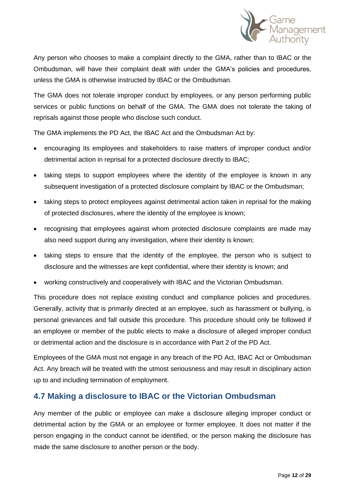

Any person who chooses to make a complaint directly to the GMA, rather than to IBAC or the Ombudsman, will have their complaint dealt with under the GMA's policies and procedures, unless the GMA is otherwise instructed by IBAC or the Ombudsman.

The GMA does not tolerate improper conduct by employees, or any person performing public services or public functions on behalf of the GMA. The GMA does not tolerate the taking of reprisals against those people who disclose such conduct.

The GMA implements the PD Act, the IBAC Act and the Ombudsman Act by:

- encouraging its employees and stakeholders to raise matters of improper conduct and/or detrimental action in reprisal for a protected disclosure directly to IBAC;
- taking steps to support employees where the identity of the employee is known in any subsequent investigation of a protected disclosure complaint by IBAC or the Ombudsman;
- taking steps to protect employees against detrimental action taken in reprisal for the making of protected disclosures, where the identity of the employee is known;
- recognising that employees against whom protected disclosure complaints are made may also need support during any investigation, where their identity is known;
- taking steps to ensure that the identity of the employee, the person who is subject to disclosure and the witnesses are kept confidential, where their identity is known; and
- working constructively and cooperatively with IBAC and the Victorian Ombudsman.

This procedure does not replace existing conduct and compliance policies and procedures. Generally, activity that is primarily directed at an employee, such as harassment or bullying, is personal grievances and fall outside this procedure. This procedure should only be followed if an employee or member of the public elects to make a disclosure of alleged improper conduct or detrimental action and the disclosure is in accordance with Part 2 of the PD Act.

Employees of the GMA must not engage in any breach of the PD Act, IBAC Act or Ombudsman Act. Any breach will be treated with the utmost seriousness and may result in disciplinary action up to and including termination of employment.

## **4.7 Making a disclosure to IBAC or the Victorian Ombudsman**

Any member of the public or employee can make a disclosure alleging improper conduct or detrimental action by the GMA or an employee or former employee. It does not matter if the person engaging in the conduct cannot be identified, or the person making the disclosure has made the same disclosure to another person or the body.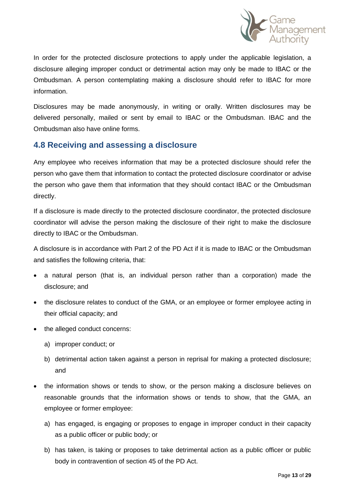

In order for the protected disclosure protections to apply under the applicable legislation, a disclosure alleging improper conduct or detrimental action may only be made to IBAC or the Ombudsman. A person contemplating making a disclosure should refer to IBAC for more information.

Disclosures may be made anonymously, in writing or orally. Written disclosures may be delivered personally, mailed or sent by email to IBAC or the Ombudsman. IBAC and the Ombudsman also have online forms.

# **4.8 Receiving and assessing a disclosure**

Any employee who receives information that may be a protected disclosure should refer the person who gave them that information to contact the protected disclosure coordinator or advise the person who gave them that information that they should contact IBAC or the Ombudsman directly.

If a disclosure is made directly to the protected disclosure coordinator, the protected disclosure coordinator will advise the person making the disclosure of their right to make the disclosure directly to IBAC or the Ombudsman.

A disclosure is in accordance with Part 2 of the PD Act if it is made to IBAC or the Ombudsman and satisfies the following criteria, that:

- a natural person (that is, an individual person rather than a corporation) made the disclosure; and
- the disclosure relates to conduct of the GMA, or an employee or former employee acting in their official capacity; and
- the alleged conduct concerns:
	- a) improper conduct; or
	- b) detrimental action taken against a person in reprisal for making a protected disclosure; and
- the information shows or tends to show, or the person making a disclosure believes on reasonable grounds that the information shows or tends to show, that the GMA, an employee or former employee:
	- a) has engaged, is engaging or proposes to engage in improper conduct in their capacity as a public officer or public body; or
	- b) has taken, is taking or proposes to take detrimental action as a public officer or public body in contravention of section 45 of the PD Act.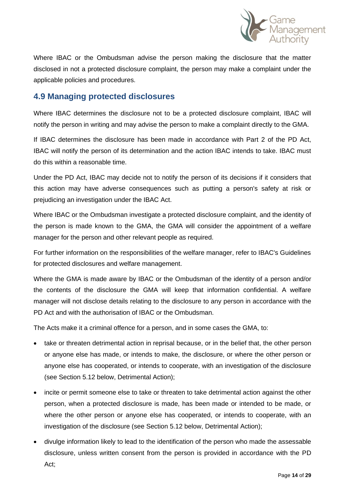

Where IBAC or the Ombudsman advise the person making the disclosure that the matter disclosed in not a protected disclosure complaint, the person may make a complaint under the applicable policies and procedures.

# **4.9 Managing protected disclosures**

Where IBAC determines the disclosure not to be a protected disclosure complaint, IBAC will notify the person in writing and may advise the person to make a complaint directly to the GMA.

If IBAC determines the disclosure has been made in accordance with Part 2 of the PD Act, IBAC will notify the person of its determination and the action IBAC intends to take. IBAC must do this within a reasonable time.

Under the PD Act, IBAC may decide not to notify the person of its decisions if it considers that this action may have adverse consequences such as putting a person's safety at risk or prejudicing an investigation under the IBAC Act.

Where IBAC or the Ombudsman investigate a protected disclosure complaint, and the identity of the person is made known to the GMA, the GMA will consider the appointment of a welfare manager for the person and other relevant people as required.

For further information on the responsibilities of the welfare manager, refer to IBAC's Guidelines for protected disclosures and welfare management.

Where the GMA is made aware by IBAC or the Ombudsman of the identity of a person and/or the contents of the disclosure the GMA will keep that information confidential. A welfare manager will not disclose details relating to the disclosure to any person in accordance with the PD Act and with the authorisation of IBAC or the Ombudsman.

The Acts make it a criminal offence for a person, and in some cases the GMA, to:

- take or threaten detrimental action in reprisal because, or in the belief that, the other person or anyone else has made, or intends to make, the disclosure, or where the other person or anyone else has cooperated, or intends to cooperate, with an investigation of the disclosure (see Section 5.12 below, Detrimental Action);
- incite or permit someone else to take or threaten to take detrimental action against the other person, when a protected disclosure is made, has been made or intended to be made, or where the other person or anyone else has cooperated, or intends to cooperate, with an investigation of the disclosure (see Section 5.12 below, Detrimental Action);
- divulge information likely to lead to the identification of the person who made the assessable disclosure, unless written consent from the person is provided in accordance with the PD Act;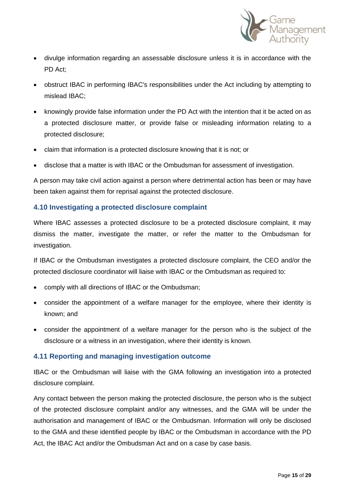

- divulge information regarding an assessable disclosure unless it is in accordance with the PD Act;
- obstruct IBAC in performing IBAC's responsibilities under the Act including by attempting to mislead IBAC;
- knowingly provide false information under the PD Act with the intention that it be acted on as a protected disclosure matter, or provide false or misleading information relating to a protected disclosure;
- claim that information is a protected disclosure knowing that it is not; or
- disclose that a matter is with IBAC or the Ombudsman for assessment of investigation.

A person may take civil action against a person where detrimental action has been or may have been taken against them for reprisal against the protected disclosure.

#### **4.10 Investigating a protected disclosure complaint**

Where IBAC assesses a protected disclosure to be a protected disclosure complaint, it may dismiss the matter, investigate the matter, or refer the matter to the Ombudsman for investigation.

If IBAC or the Ombudsman investigates a protected disclosure complaint, the CEO and/or the protected disclosure coordinator will liaise with IBAC or the Ombudsman as required to:

- comply with all directions of IBAC or the Ombudsman;
- consider the appointment of a welfare manager for the employee, where their identity is known; and
- consider the appointment of a welfare manager for the person who is the subject of the disclosure or a witness in an investigation, where their identity is known.

## **4.11 Reporting and managing investigation outcome**

IBAC or the Ombudsman will liaise with the GMA following an investigation into a protected disclosure complaint.

Any contact between the person making the protected disclosure, the person who is the subject of the protected disclosure complaint and/or any witnesses, and the GMA will be under the authorisation and management of IBAC or the Ombudsman. Information will only be disclosed to the GMA and these identified people by IBAC or the Ombudsman in accordance with the PD Act, the IBAC Act and/or the Ombudsman Act and on a case by case basis.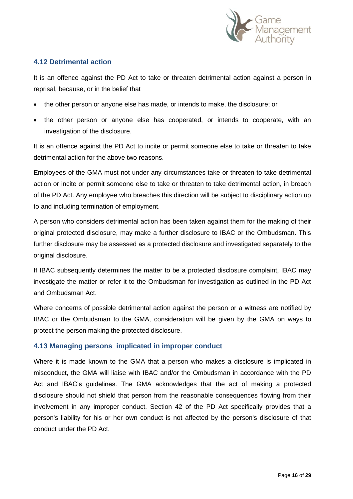

## **4.12 Detrimental action**

It is an offence against the PD Act to take or threaten detrimental action against a person in reprisal, because, or in the belief that

- the other person or anyone else has made, or intends to make, the disclosure; or
- the other person or anyone else has cooperated, or intends to cooperate, with an investigation of the disclosure.

It is an offence against the PD Act to incite or permit someone else to take or threaten to take detrimental action for the above two reasons.

Employees of the GMA must not under any circumstances take or threaten to take detrimental action or incite or permit someone else to take or threaten to take detrimental action, in breach of the PD Act. Any employee who breaches this direction will be subject to disciplinary action up to and including termination of employment.

A person who considers detrimental action has been taken against them for the making of their original protected disclosure, may make a further disclosure to IBAC or the Ombudsman. This further disclosure may be assessed as a protected disclosure and investigated separately to the original disclosure.

If IBAC subsequently determines the matter to be a protected disclosure complaint, IBAC may investigate the matter or refer it to the Ombudsman for investigation as outlined in the PD Act and Ombudsman Act.

Where concerns of possible detrimental action against the person or a witness are notified by IBAC or the Ombudsman to the GMA, consideration will be given by the GMA on ways to protect the person making the protected disclosure.

## **4.13 Managing persons implicated in improper conduct**

Where it is made known to the GMA that a person who makes a disclosure is implicated in misconduct, the GMA will liaise with IBAC and/or the Ombudsman in accordance with the PD Act and IBAC's guidelines. The GMA acknowledges that the act of making a protected disclosure should not shield that person from the reasonable consequences flowing from their involvement in any improper conduct. Section 42 of the PD Act specifically provides that a person's liability for his or her own conduct is not affected by the person's disclosure of that conduct under the PD Act.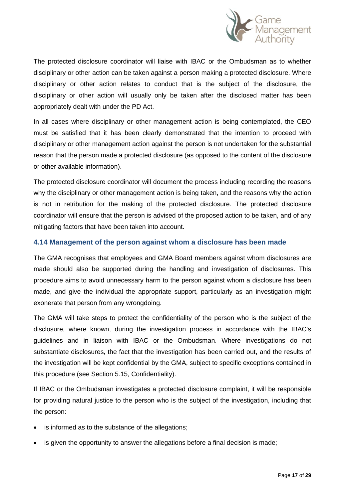

The protected disclosure coordinator will liaise with IBAC or the Ombudsman as to whether disciplinary or other action can be taken against a person making a protected disclosure. Where disciplinary or other action relates to conduct that is the subject of the disclosure, the disciplinary or other action will usually only be taken after the disclosed matter has been appropriately dealt with under the PD Act.

In all cases where disciplinary or other management action is being contemplated, the CEO must be satisfied that it has been clearly demonstrated that the intention to proceed with disciplinary or other management action against the person is not undertaken for the substantial reason that the person made a protected disclosure (as opposed to the content of the disclosure or other available information).

The protected disclosure coordinator will document the process including recording the reasons why the disciplinary or other management action is being taken, and the reasons why the action is not in retribution for the making of the protected disclosure. The protected disclosure coordinator will ensure that the person is advised of the proposed action to be taken, and of any mitigating factors that have been taken into account.

#### **4.14 Management of the person against whom a disclosure has been made**

The GMA recognises that employees and GMA Board members against whom disclosures are made should also be supported during the handling and investigation of disclosures. This procedure aims to avoid unnecessary harm to the person against whom a disclosure has been made, and give the individual the appropriate support, particularly as an investigation might exonerate that person from any wrongdoing.

The GMA will take steps to protect the confidentiality of the person who is the subject of the disclosure, where known, during the investigation process in accordance with the IBAC's guidelines and in liaison with IBAC or the Ombudsman. Where investigations do not substantiate disclosures, the fact that the investigation has been carried out, and the results of the investigation will be kept confidential by the GMA, subject to specific exceptions contained in this procedure (see Section 5.15, Confidentiality).

If IBAC or the Ombudsman investigates a protected disclosure complaint, it will be responsible for providing natural justice to the person who is the subject of the investigation, including that the person:

- is informed as to the substance of the allegations;
- is given the opportunity to answer the allegations before a final decision is made;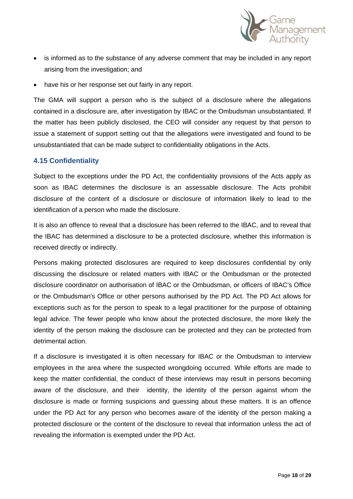

- is informed as to the substance of any adverse comment that may be included in any report arising from the investigation; and
- have his or her response set out fairly in any report.

The GMA will support a person who is the subject of a disclosure where the allegations contained in a disclosure are, after investigation by IBAC or the Ombudsman unsubstantiated. If the matter has been publicly disclosed, the CEO will consider any request by that person to issue a statement of support setting out that the allegations were investigated and found to be unsubstantiated that can be made subject to confidentiality obligations in the Acts.

#### **4.15 Confidentiality**

Subject to the exceptions under the PD Act, the confidentiality provisions of the Acts apply as soon as IBAC determines the disclosure is an assessable disclosure. The Acts prohibit disclosure of the content of a disclosure or disclosure of information likely to lead to the identification of a person who made the disclosure.

It is also an offence to reveal that a disclosure has been referred to the IBAC, and to reveal that the IBAC has determined a disclosure to be a protected disclosure, whether this information is received directly or indirectly.

Persons making protected disclosures are required to keep disclosures confidential by only discussing the disclosure or related matters with IBAC or the Ombudsman or the protected disclosure coordinator on authorisation of IBAC or the Ombudsman, or officers of IBAC's Office or the Ombudsman's Office or other persons authorised by the PD Act. The PD Act allows for exceptions such as for the person to speak to a legal practitioner for the purpose of obtaining legal advice. The fewer people who know about the protected disclosure, the more likely the identity of the person making the disclosure can be protected and they can be protected from detrimental action.

If a disclosure is investigated it is often necessary for IBAC or the Ombudsman to interview employees in the area where the suspected wrongdoing occurred. While efforts are made to keep the matter confidential, the conduct of these interviews may result in persons becoming aware of the disclosure, and their identity, the identity of the person against whom the disclosure is made or forming suspicions and guessing about these matters. It is an offence under the PD Act for any person who becomes aware of the identity of the person making a protected disclosure or the content of the disclosure to reveal that information unless the act of revealing the information is exempted under the PD Act.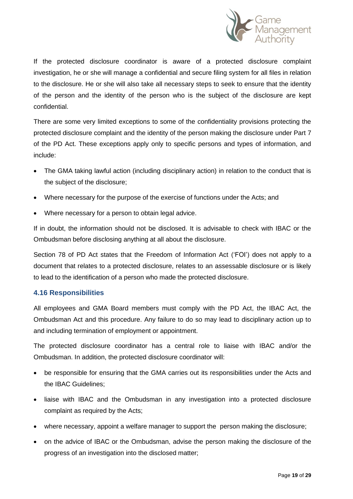

If the protected disclosure coordinator is aware of a protected disclosure complaint investigation, he or she will manage a confidential and secure filing system for all files in relation to the disclosure. He or she will also take all necessary steps to seek to ensure that the identity of the person and the identity of the person who is the subject of the disclosure are kept confidential.

There are some very limited exceptions to some of the confidentiality provisions protecting the protected disclosure complaint and the identity of the person making the disclosure under Part 7 of the PD Act. These exceptions apply only to specific persons and types of information, and include:

- The GMA taking lawful action (including disciplinary action) in relation to the conduct that is the subject of the disclosure;
- Where necessary for the purpose of the exercise of functions under the Acts; and
- Where necessary for a person to obtain legal advice.

If in doubt, the information should not be disclosed. It is advisable to check with IBAC or the Ombudsman before disclosing anything at all about the disclosure.

Section 78 of PD Act states that the Freedom of Information Act ('FOI') does not apply to a document that relates to a protected disclosure, relates to an assessable disclosure or is likely to lead to the identification of a person who made the protected disclosure.

## **4.16 Responsibilities**

All employees and GMA Board members must comply with the PD Act, the IBAC Act, the Ombudsman Act and this procedure. Any failure to do so may lead to disciplinary action up to and including termination of employment or appointment.

The protected disclosure coordinator has a central role to liaise with IBAC and/or the Ombudsman. In addition, the protected disclosure coordinator will:

- be responsible for ensuring that the GMA carries out its responsibilities under the Acts and the IBAC Guidelines;
- liaise with IBAC and the Ombudsman in any investigation into a protected disclosure complaint as required by the Acts;
- where necessary, appoint a welfare manager to support the person making the disclosure;
- on the advice of IBAC or the Ombudsman, advise the person making the disclosure of the progress of an investigation into the disclosed matter;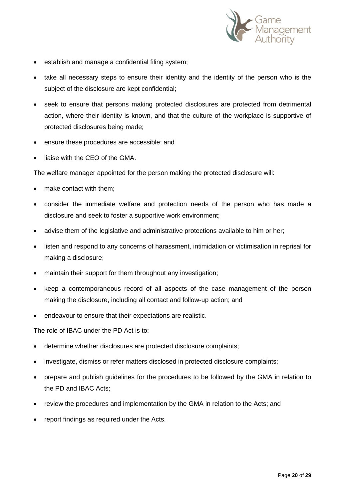

- establish and manage a confidential filing system;
- take all necessary steps to ensure their identity and the identity of the person who is the subject of the disclosure are kept confidential;
- seek to ensure that persons making protected disclosures are protected from detrimental action, where their identity is known, and that the culture of the workplace is supportive of protected disclosures being made;
- ensure these procedures are accessible; and
- liaise with the CEO of the GMA.

The welfare manager appointed for the person making the protected disclosure will:

- make contact with them;
- consider the immediate welfare and protection needs of the person who has made a disclosure and seek to foster a supportive work environment;
- advise them of the legislative and administrative protections available to him or her;
- listen and respond to any concerns of harassment, intimidation or victimisation in reprisal for making a disclosure;
- maintain their support for them throughout any investigation;
- keep a contemporaneous record of all aspects of the case management of the person making the disclosure, including all contact and follow-up action; and
- endeavour to ensure that their expectations are realistic.

The role of IBAC under the PD Act is to:

- determine whether disclosures are protected disclosure complaints;
- investigate, dismiss or refer matters disclosed in protected disclosure complaints;
- prepare and publish guidelines for the procedures to be followed by the GMA in relation to the PD and IBAC Acts;
- review the procedures and implementation by the GMA in relation to the Acts; and
- report findings as required under the Acts.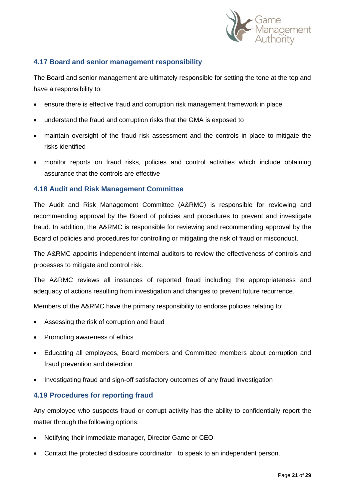

## **4.17 Board and senior management responsibility**

The Board and senior management are ultimately responsible for setting the tone at the top and have a responsibility to:

- ensure there is effective fraud and corruption risk management framework in place
- understand the fraud and corruption risks that the GMA is exposed to
- maintain oversight of the fraud risk assessment and the controls in place to mitigate the risks identified
- monitor reports on fraud risks, policies and control activities which include obtaining assurance that the controls are effective

#### **4.18 Audit and Risk Management Committee**

The Audit and Risk Management Committee (A&RMC) is responsible for reviewing and recommending approval by the Board of policies and procedures to prevent and investigate fraud. In addition, the A&RMC is responsible for reviewing and recommending approval by the Board of policies and procedures for controlling or mitigating the risk of fraud or misconduct.

The A&RMC appoints independent internal auditors to review the effectiveness of controls and processes to mitigate and control risk.

The A&RMC reviews all instances of reported fraud including the appropriateness and adequacy of actions resulting from investigation and changes to prevent future recurrence.

Members of the A&RMC have the primary responsibility to endorse policies relating to:

- Assessing the risk of corruption and fraud
- Promoting awareness of ethics
- Educating all employees, Board members and Committee members about corruption and fraud prevention and detection
- Investigating fraud and sign-off satisfactory outcomes of any fraud investigation

## **4.19 Procedures for reporting fraud**

Any employee who suspects fraud or corrupt activity has the ability to confidentially report the matter through the following options:

- Notifying their immediate manager, Director Game or CEO
- Contact the protected disclosure coordinator to speak to an independent person.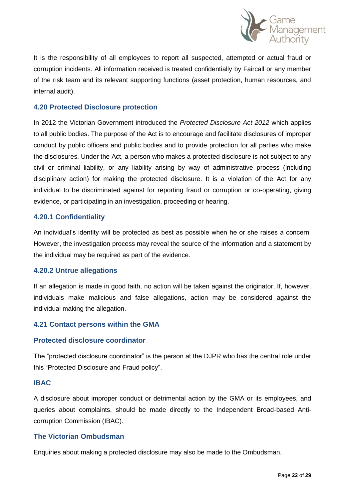

It is the responsibility of all employees to report all suspected, attempted or actual fraud or corruption incidents. All information received is treated confidentially by Faircall or any member of the risk team and its relevant supporting functions (asset protection, human resources, and internal audit).

#### **4.20 Protected Disclosure protection**

In 2012 the Victorian Government introduced the *Protected Disclosure Act 2012* which applies to all public bodies. The purpose of the Act is to encourage and facilitate disclosures of improper conduct by public officers and public bodies and to provide protection for all parties who make the disclosures. Under the Act, a person who makes a protected disclosure is not subject to any civil or criminal liability, or any liability arising by way of administrative process (including disciplinary action) for making the protected disclosure. It is a violation of the Act for any individual to be discriminated against for reporting fraud or corruption or co-operating, giving evidence, or participating in an investigation, proceeding or hearing.

#### **4.20.1 Confidentiality**

An individual's identity will be protected as best as possible when he or she raises a concern. However, the investigation process may reveal the source of the information and a statement by the individual may be required as part of the evidence.

#### **4.20.2 Untrue allegations**

If an allegation is made in good faith, no action will be taken against the originator, If, however, individuals make malicious and false allegations, action may be considered against the individual making the allegation.

## **4.21 Contact persons within the GMA**

#### **Protected disclosure coordinator**

The "protected disclosure coordinator" is the person at the DJPR who has the central role under this "Protected Disclosure and Fraud policy".

#### **IBAC**

A disclosure about improper conduct or detrimental action by the GMA or its employees, and queries about complaints, should be made directly to the Independent Broad-based Anticorruption Commission (IBAC).

#### **The Victorian Ombudsman**

Enquiries about making a protected disclosure may also be made to the Ombudsman.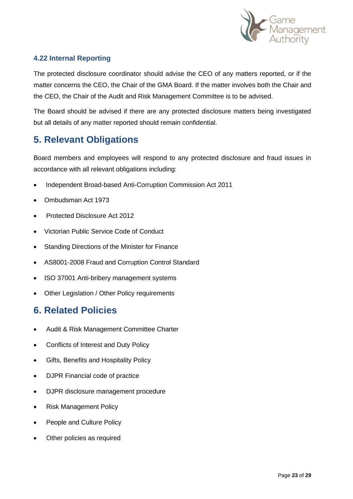

## **4.22 Internal Reporting**

The protected disclosure coordinator should advise the CEO of any matters reported, or if the matter concerns the CEO, the Chair of the GMA Board. If the matter involves both the Chair and the CEO, the Chair of the Audit and Risk Management Committee is to be advised.

The Board should be advised if there are any protected disclosure matters being investigated but all details of any matter reported should remain confidential.

# **5. Relevant Obligations**

Board members and employees will respond to any protected disclosure and fraud issues in accordance with all relevant obligations including:

- Independent Broad-based Anti-Corruption Commission Act 2011
- Ombudsman Act 1973
- Protected Disclosure Act 2012
- Victorian Public Service Code of Conduct
- Standing Directions of the Minister for Finance
- AS8001-2008 Fraud and Corruption Control Standard
- ISO 37001 Anti-bribery management systems
- Other Legislation / Other Policy requirements

# **6. Related Policies**

- Audit & Risk Management Committee Charter
- Conflicts of Interest and Duty Policy
- Gifts, Benefits and Hospitality Policy
- DJPR Financial code of practice
- DJPR disclosure management procedure
- Risk Management Policy
- People and Culture Policy
- Other policies as required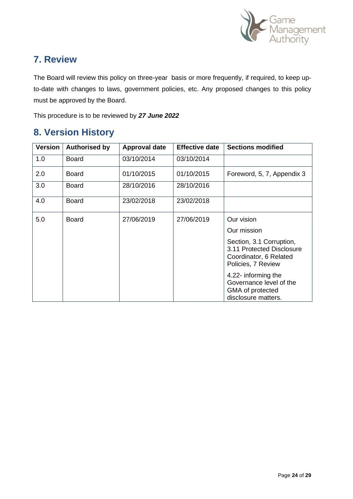

# **7. Review**

The Board will review this policy on three-year basis or more frequently, if required, to keep upto-date with changes to laws, government policies, etc. Any proposed changes to this policy must be approved by the Board.

This procedure is to be reviewed by *27 June 2022* 

# **8. Version History**

| <b>Version</b> | <b>Authorised by</b> | Approval date | <b>Effective date</b> | <b>Sections modified</b>                                                                              |
|----------------|----------------------|---------------|-----------------------|-------------------------------------------------------------------------------------------------------|
| 1.0            | <b>Board</b>         | 03/10/2014    | 03/10/2014            |                                                                                                       |
| 2.0            | <b>Board</b>         | 01/10/2015    | 01/10/2015            | Foreword, 5, 7, Appendix 3                                                                            |
| 3.0            | <b>Board</b>         | 28/10/2016    | 28/10/2016            |                                                                                                       |
| 4.0            | <b>Board</b>         | 23/02/2018    | 23/02/2018            |                                                                                                       |
| 5.0            | <b>Board</b>         | 27/06/2019    | 27/06/2019            | Our vision                                                                                            |
|                |                      |               |                       | Our mission                                                                                           |
|                |                      |               |                       | Section, 3.1 Corruption,<br>3.11 Protected Disclosure<br>Coordinator, 6 Related<br>Policies, 7 Review |
|                |                      |               |                       | 4.22- informing the<br>Governance level of the<br>GMA of protected<br>disclosure matters.             |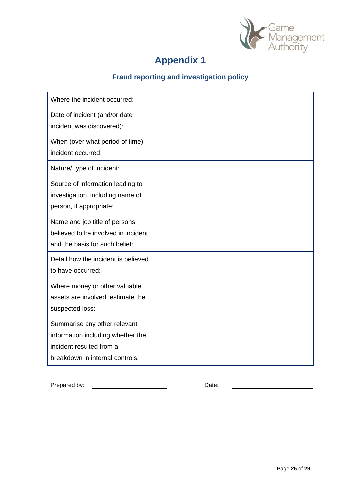

# **Appendix 1**

# **Fraud reporting and investigation policy**

| Where the incident occurred:                                                                                                     |  |
|----------------------------------------------------------------------------------------------------------------------------------|--|
| Date of incident (and/or date<br>incident was discovered):                                                                       |  |
| When (over what period of time)<br>incident occurred:                                                                            |  |
| Nature/Type of incident:                                                                                                         |  |
| Source of information leading to<br>investigation, including name of<br>person, if appropriate:                                  |  |
| Name and job title of persons<br>believed to be involved in incident<br>and the basis for such belief:                           |  |
| Detail how the incident is believed<br>to have occurred:                                                                         |  |
| Where money or other valuable<br>assets are involved, estimate the<br>suspected loss:                                            |  |
| Summarise any other relevant<br>information including whether the<br>incident resulted from a<br>breakdown in internal controls: |  |

Prepared by: Date: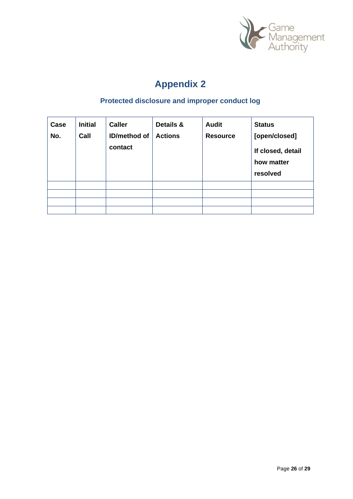

# **Appendix 2**

# **Protected disclosure and improper conduct log**

| Case<br>No. | <b>Initial</b><br>Call | <b>Caller</b><br><b>ID/method of</b><br>contact | Details &<br><b>Actions</b> | <b>Audit</b><br><b>Resource</b> | <b>Status</b><br>[open/closed]<br>If closed, detail<br>how matter<br>resolved |
|-------------|------------------------|-------------------------------------------------|-----------------------------|---------------------------------|-------------------------------------------------------------------------------|
|             |                        |                                                 |                             |                                 |                                                                               |
|             |                        |                                                 |                             |                                 |                                                                               |
|             |                        |                                                 |                             |                                 |                                                                               |
|             |                        |                                                 |                             |                                 |                                                                               |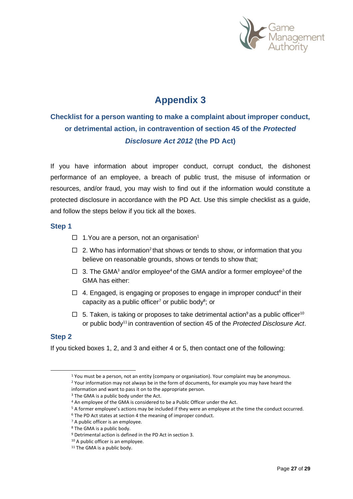

# **Appendix 3**

# **Checklist for a person wanting to make a complaint about improper conduct, or detrimental action, in contravention of section 45 of the** *Protected Disclosure Act 2012* **(the PD Act)**

If you have information about improper conduct, corrupt conduct, the dishonest performance of an employee, a breach of public trust, the misuse of information or resources, and/or fraud, you may wish to find out if the information would constitute a protected disclosure in accordance with the PD Act. Use this simple checklist as a guide, and follow the steps below if you tick all the boxes.

#### **Step 1**

- $\Box$  1. You are a person, not an organisation<sup>1</sup>
- $\Box$  2. Who has information<sup>2</sup> that shows or tends to show, or information that you believe on reasonable grounds, shows or tends to show that;
- $\Box$  3. The GMA<sup>3</sup> and/or employee<sup>4</sup> of the GMA and/or a former employee<sup>5</sup> of the GMA has either:
- $\Box$  4. Engaged, is engaging or proposes to engage in improper conduct<sup>6</sup> in their capacity as a public officer<sup>7</sup> or public body<sup>8</sup>; or
- $\Box$  5. Taken, is taking or proposes to take detrimental action as a public officer<sup>10</sup> or public body<sup>11</sup> in contravention of section 45 of the *Protected Disclosure Act*.

#### **Step 2**

If you ticked boxes 1, 2, and 3 and either 4 or 5, then contact one of the following:

<sup>5</sup> A former employee's actions may be included if they were an employee at the time the conduct occurred.

<sup>1</sup> You must be a person, not an entity (company or organisation). Your complaint may be anonymous. <sup>2</sup> Your information may not always be in the form of documents, for example you may have heard the information and want to pass it on to the appropriate person.

<sup>&</sup>lt;sup>3</sup> The GMA is a public body under the Act.

<sup>&</sup>lt;sup>4</sup> An employee of the GMA is considered to be a Public Officer under the Act.

<sup>&</sup>lt;sup>6</sup> The PD Act states at section 4 the meaning of improper conduct.

<sup>&</sup>lt;sup>7</sup> A public officer is an employee.

<sup>8</sup> The GMA is a public body.

<sup>9</sup> Detrimental action is defined in the PD Act in section 3.

<sup>&</sup>lt;sup>10</sup> A public officer is an employee.

<sup>&</sup>lt;sup>11</sup> The GMA is a public body.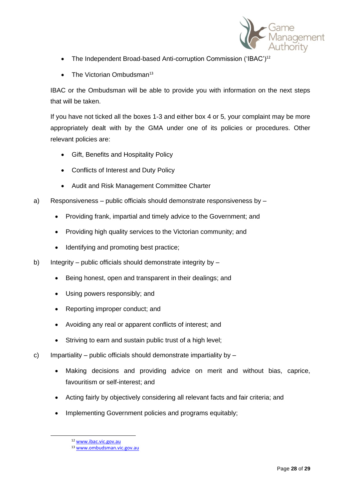

- The Independent Broad-based Anti-corruption Commission ('IBAC')<sup>12</sup>
- The Victorian Ombudsman $^{13}$

IBAC or the Ombudsman will be able to provide you with information on the next steps that will be taken.

If you have not ticked all the boxes 1-3 and either box 4 or 5, your complaint may be more appropriately dealt with by the GMA under one of its policies or procedures. Other relevant policies are:

- Gift, Benefits and Hospitality Policy
- Conflicts of Interest and Duty Policy
- Audit and Risk Management Committee Charter
- a) Responsiveness public officials should demonstrate responsiveness by
	- Providing frank, impartial and timely advice to the Government; and
	- Providing high quality services to the Victorian community; and
	- Identifying and promoting best practice;
- b) Integrity public officials should demonstrate integrity by
	- Being honest, open and transparent in their dealings; and
	- Using powers responsibly; and
	- Reporting improper conduct; and
	- Avoiding any real or apparent conflicts of interest; and
	- Striving to earn and sustain public trust of a high level;
- c) Impartiality public officials should demonstrate impartiality by
	- Making decisions and providing advice on merit and without bias, caprice, favouritism or self-interest; and
	- Acting fairly by objectively considering all relevant facts and fair criteria; and
	- Implementing Government policies and programs equitably;

<sup>12</sup> [www.ibac.vic.gov.au](http://www.ibac.vic.gov.au/)

<sup>13</sup> [www.ombudsman.vic.gov.au](http://www.ombudsman.vic.gov.au/)